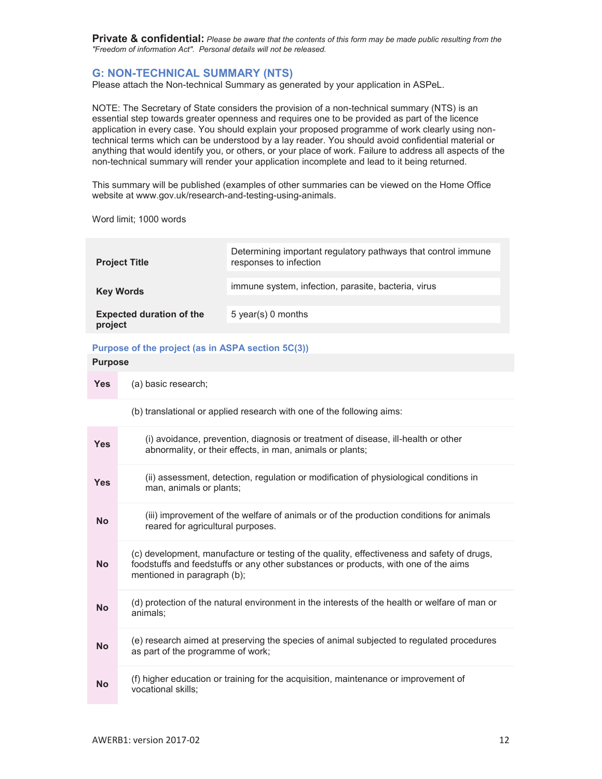# **G: NON-TECHNICAL SUMMARY (NTS)**

Please attach the Non-technical Summary as generated by your application in ASPeL.

NOTE: The Secretary of State considers the provision of a non-technical summary (NTS) is an essential step towards greater openness and requires one to be provided as part of the licence application in every case. You should explain your proposed programme of work clearly using nontechnical terms which can be understood by a lay reader. You should avoid confidential material or anything that would identify you, or others, or your place of work. Failure to address all aspects of the non-technical summary will render your application incomplete and lead to it being returned.

This summary will be published (examples of other summaries can be viewed on the Home Office website at www.gov.uk/research-and-testing-using-animals.

Word limit; 1000 words

| <b>Project Title</b>                       | Determining important regulatory pathways that control immune<br>responses to infection |
|--------------------------------------------|-----------------------------------------------------------------------------------------|
| <b>Key Words</b>                           | immune system, infection, parasite, bacteria, virus                                     |
| <b>Expected duration of the</b><br>project | $5$ year(s) 0 months                                                                    |

# **Purpose of the project (as in ASPA section 5C(3))**

## **Purpose**

**Yes** (a) basic research;

(b) translational or applied research with one of the following aims:

| <b>Yes</b> | (i) avoidance, prevention, diagnosis or treatment of disease, ill-health or other<br>abnormality, or their effects, in man, animals or plants;                                                                   |
|------------|------------------------------------------------------------------------------------------------------------------------------------------------------------------------------------------------------------------|
| <b>Yes</b> | (ii) assessment, detection, regulation or modification of physiological conditions in<br>man, animals or plants;                                                                                                 |
| <b>No</b>  | (iii) improvement of the welfare of animals or of the production conditions for animals<br>reared for agricultural purposes.                                                                                     |
| <b>No</b>  | (c) development, manufacture or testing of the quality, effectiveness and safety of drugs,<br>foodstuffs and feedstuffs or any other substances or products, with one of the aims<br>mentioned in paragraph (b); |
| <b>No</b>  | (d) protection of the natural environment in the interests of the health or welfare of man or<br>animals;                                                                                                        |
| <b>No</b>  | (e) research aimed at preserving the species of animal subjected to regulated procedures<br>as part of the programme of work;                                                                                    |
| <b>No</b>  | (f) higher education or training for the acquisition, maintenance or improvement of<br>vocational skills;                                                                                                        |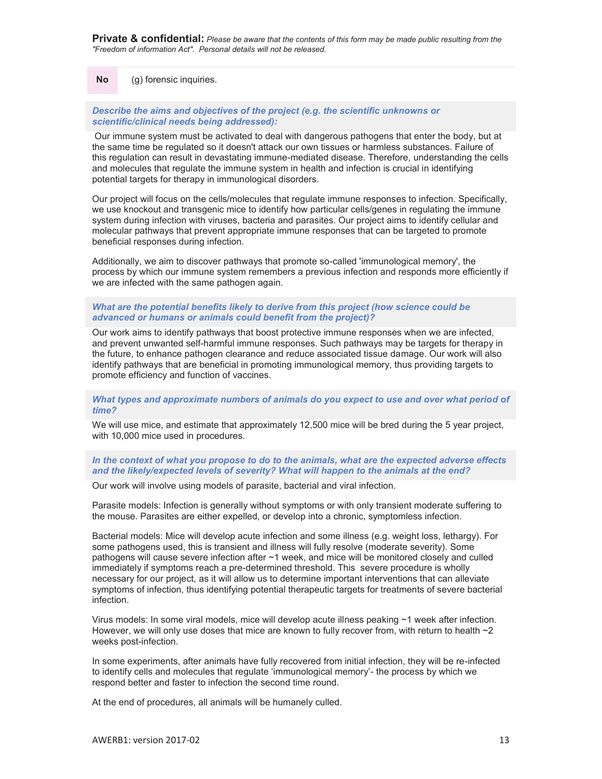**No** (g) forensic inquiries.

*Describe the aims and objectives of the project (e.g. the scientific unknowns or scientific/clinical needs being addressed):* 

 Our immune system must be activated to deal with dangerous pathogens that enter the body, but at the same time be regulated so it doesn't attack our own tissues or harmless substances. Failure of this regulation can result in devastating immune-mediated disease. Therefore, understanding the cells and molecules that regulate the immune system in health and infection is crucial in identifying potential targets for therapy in immunological disorders.

Our project will focus on the cells/molecules that regulate immune responses to infection. Specifically, we use knockout and transgenic mice to identify how particular cells/genes in regulating the immune system during infection with viruses, bacteria and parasites. Our project aims to identify cellular and molecular pathways that prevent appropriate immune responses that can be targeted to promote beneficial responses during infection.

Additionally, we aim to discover pathways that promote so-called 'immunological memory', the process by which our immune system remembers a previous infection and responds more efficiently if we are infected with the same pathogen again.

# *What are the potential benefits likely to derive from this project (how science could be advanced or humans or animals could benefit from the project)?*

Our work aims to identify pathways that boost protective immune responses when we are infected, and prevent unwanted self-harmful immune responses. Such pathways may be targets for therapy in the future, to enhance pathogen clearance and reduce associated tissue damage. Our work will also identify pathways that are beneficial in promoting immunological memory, thus providing targets to promote efficiency and function of vaccines.

## What types and approximate numbers of animals do you expect to use and over what period of *time?*

We will use mice, and estimate that approximately 12,500 mice will be bred during the 5 year project, with 10,000 mice used in procedures.

# *In the context of what you propose to do to the animals, what are the expected adverse effects and the likely/expected levels of severity? What will happen to the animals at the end?*

Our work will involve using models of parasite, bacterial and viral infection.

Parasite models: Infection is generally without symptoms or with only transient moderate suffering to the mouse. Parasites are either expelled, or develop into a chronic, symptomless infection.

Bacterial models: Mice will develop acute infection and some illness (e.g. weight loss, lethargy). For some pathogens used, this is transient and illness will fully resolve (moderate severity). Some pathogens will cause severe infection after ~1 week, and mice will be monitored closely and culled immediately if symptoms reach a pre-determined threshold. This severe procedure is wholly necessary for our project, as it will allow us to determine important interventions that can alleviate symptoms of infection, thus identifying potential therapeutic targets for treatments of severe bacterial infection.

Virus models: In some viral models, mice will develop acute illness peaking ~1 week after infection. However, we will only use doses that mice are known to fully recover from, with return to health  $\sim$ 2 weeks post-infection.

In some experiments, after animals have fully recovered from initial infection, they will be re-infected to identify cells and molecules that regulate 'immunological memory'- the process by which we respond better and faster to infection the second time round.

At the end of procedures, all animals will be humanely culled.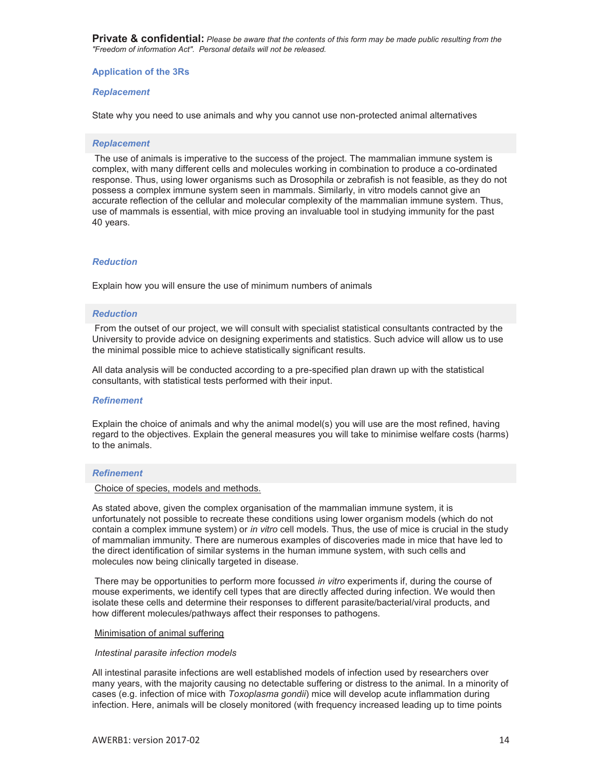## **Application of the 3Rs**

## *Replacement*

State why you need to use animals and why you cannot use non-protected animal alternatives

#### *Replacement*

 The use of animals is imperative to the success of the project. The mammalian immune system is complex, with many different cells and molecules working in combination to produce a co-ordinated response. Thus, using lower organisms such as Drosophila or zebrafish is not feasible, as they do not possess a complex immune system seen in mammals. Similarly, in vitro models cannot give an accurate reflection of the cellular and molecular complexity of the mammalian immune system. Thus, use of mammals is essential, with mice proving an invaluable tool in studying immunity for the past 40 years.

#### *Reduction*

Explain how you will ensure the use of minimum numbers of animals

#### *Reduction*

 From the outset of our project, we will consult with specialist statistical consultants contracted by the University to provide advice on designing experiments and statistics. Such advice will allow us to use the minimal possible mice to achieve statistically significant results.

All data analysis will be conducted according to a pre-specified plan drawn up with the statistical consultants, with statistical tests performed with their input.

## *Refinement*

Explain the choice of animals and why the animal model(s) you will use are the most refined, having regard to the objectives. Explain the general measures you will take to minimise welfare costs (harms) to the animals.

#### *Refinement*

# Choice of species, models and methods.

As stated above, given the complex organisation of the mammalian immune system, it is unfortunately not possible to recreate these conditions using lower organism models (which do not contain a complex immune system) or *in vitro* cell models. Thus, the use of mice is crucial in the study of mammalian immunity. There are numerous examples of discoveries made in mice that have led to the direct identification of similar systems in the human immune system, with such cells and molecules now being clinically targeted in disease.

 There may be opportunities to perform more focussed *in vitro* experiments if, during the course of mouse experiments, we identify cell types that are directly affected during infection. We would then isolate these cells and determine their responses to different parasite/bacterial/viral products, and how different molecules/pathways affect their responses to pathogens.

#### Minimisation of animal suffering

#### *Intestinal parasite infection models*

All intestinal parasite infections are well established models of infection used by researchers over many years, with the majority causing no detectable suffering or distress to the animal. In a minority of cases (e.g. infection of mice with *Toxoplasma gondii*) mice will develop acute inflammation during infection. Here, animals will be closely monitored (with frequency increased leading up to time points